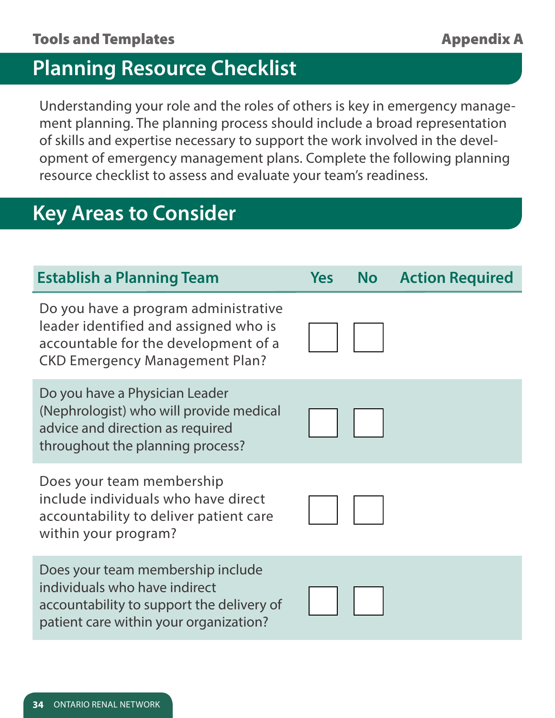## **Planning Resource Checklist**

Understanding your role and the roles of others is key in emergency management planning. The planning process should include a broad representation of skills and expertise necessary to support the work involved in the development of emergency management plans. Complete the following planning resource checklist to assess and evaluate your team's readiness.

## **Key Areas to Consider**

| <b>Establish a Planning Team</b>                                                                                                                               | <b>Yes</b> | <b>No</b> | <b>Action Required</b> |
|----------------------------------------------------------------------------------------------------------------------------------------------------------------|------------|-----------|------------------------|
| Do you have a program administrative<br>leader identified and assigned who is<br>accountable for the development of a<br><b>CKD Emergency Management Plan?</b> |            |           |                        |
| Do you have a Physician Leader<br>(Nephrologist) who will provide medical<br>advice and direction as required<br>throughout the planning process?              |            |           |                        |
| Does your team membership<br>include individuals who have direct<br>accountability to deliver patient care<br>within your program?                             |            |           |                        |
| Does your team membership include<br>individuals who have indirect<br>accountability to support the delivery of<br>patient care within your organization?      |            |           |                        |
|                                                                                                                                                                |            |           |                        |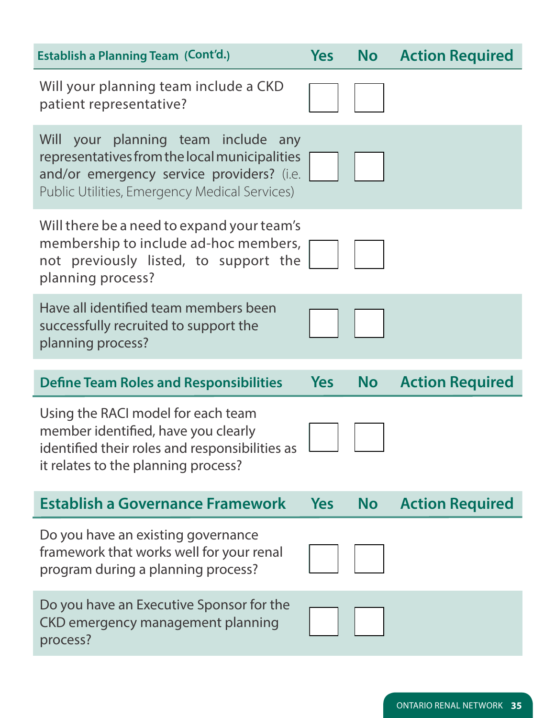| <b>Yes</b> |                                                                                                                                                                                                                                                                   | <b>No</b> Action Required |
|------------|-------------------------------------------------------------------------------------------------------------------------------------------------------------------------------------------------------------------------------------------------------------------|---------------------------|
|            |                                                                                                                                                                                                                                                                   |                           |
|            |                                                                                                                                                                                                                                                                   |                           |
|            |                                                                                                                                                                                                                                                                   |                           |
|            |                                                                                                                                                                                                                                                                   |                           |
| <b>Yes</b> | <b>No</b>                                                                                                                                                                                                                                                         | <b>Action Required</b>    |
|            |                                                                                                                                                                                                                                                                   |                           |
| <b>Yes</b> | <b>No</b>                                                                                                                                                                                                                                                         | <b>Action Required</b>    |
|            |                                                                                                                                                                                                                                                                   |                           |
|            |                                                                                                                                                                                                                                                                   |                           |
|            | Will your planning team include any<br>representatives from the local municipalities<br>and/or emergency service providers? (i.e.<br>Will there be a need to expand your team's<br>membership to include ad-hoc members,<br>not previously listed, to support the |                           |